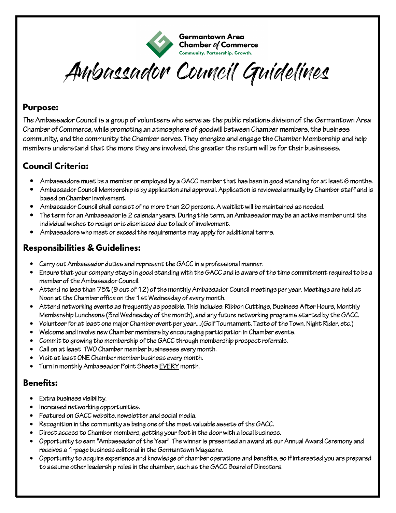

**Germantown Area** Chamber of Commerce Community. Partnership. Growth.

Ambassador Council Guidelines

#### **Purpose:**

The Ambassador Council is a group of volunteers who serve as the public relations division of the Germantown Area Chamber of Commerce, while promoting an atmosphere of goodwill between Chamber members, the business community, and the community the Chamber serves. They energize and engage the Chamber Membership and help members understand that the more they are involved, the greater the return will be for their businesses.

## **Council Criteria:**

- Ambassadors must be a member or employed by a GACC member that has been in good standing for at least 6 months.
- Ambassador Council Membership is by application and approval. Application is reviewed annually by Chamber staff and is based on Chamber involvement.
- Ambassador Council shall consist of no more than 20 persons. A waitlist will be maintained as needed.
- The term for an Ambassador is 2 calendar years. During this term, an Ambassador may be an active member until the individual wishes to resign or is dismissed due to lack of involvement.
- Ambassadors who meet or exceed the requirements may apply for additional terms.

## **Responsibilities & Guidelines:**

- Carry out Ambassador duties and represent the GACC in a professional manner.
- Ensure that your company stays in good standing with the GACC and is aware of the time commitment required to be a member of the Ambassador Council.
- Attend no less than 75% (9 out of 12) of the monthly Ambassador Council meetings per year. Meetings are held at Noon at the Chamber office on the 1st Wednesday of every month.
- Attend networking events as frequently as possible. This includes: Ribbon Cuttings, Business After Hours, Monthly Membership Luncheons (3rd Wednesday of the month), and any future networking programs started by the GACC.
- Volunteer for at least one major Chamber event per year....(Golf Tournament, Taste of the Town, Night Rider, etc.)
- Welcome and involve new Chamber members by encouraging participation in Chamber events.
- Commit to growing the membership of the GACC through membership prospect referrals.
- Call on at least TWO Chamber member businesses every month.
- Visit at least ONE Chamber member business every month.
- Turn in monthly Ambassador Point Sheets EVERY month.

#### **Benefits:**

- Extra business visibility.
- Increased networking opportunities.
- Featured on GACC website, newsletter and social media.
- Recognition in the community as being one of the most valuable assets of the GACC.
- Direct access to Chamber members, getting your foot in the door with a local business.
- Opportunity to earn "Ambassador of the Year". The winner is presented an award at our Annual Award Ceremony and receives a 1-page business editorial in the Germantown Magazine.
- Opportunity to acquire experience and knowledge of chamber operations and benefits, so if interested you are prepared to assume other leadership roles in the chamber, such as the GACC Board of Directors.